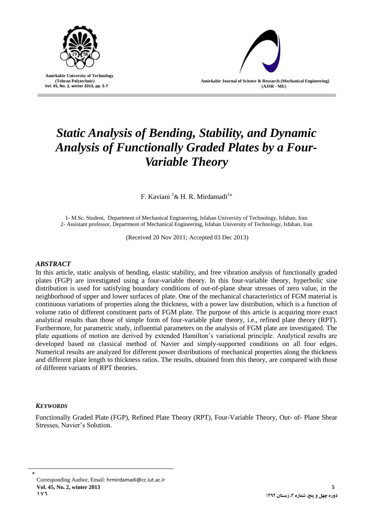

 **Amirkabir University of Technology (Tehran Polytechnic) Vol. 45, No. 2, winter 2013, pp. 5-7**



# *Static Analysis of Bending, Stability, and Dynamic Analysis of Functionally Graded Plates by a Four-Variable Theory*

F. Kaviani  ${}^{1}$ & H. R. Mirdamadi<sup>2\*</sup>

1- M.Sc. Student, Department of Mechanical Engineering, Isfahan University of Technology, Isfahan, Iran 2- Assistant professor, Department of Mechanical Engineering, Isfahan University of Technology, Isfahan, Iran

(Received 20 Nov 2011; Accepted 03 Dec 2013)

# *ABSTRACT*

In this article, static analysis of bending, elastic stability, and free vibration analysis of functionally graded plates (FGP) are investigated using a four-variable theory. In this four-variable theory, hyperbolic sine distribution is used for satisfying boundary conditions of out-of-plane shear stresses of zero value, in the neighborhood of upper and lower surfaces of plate. One of the mechanical characteristics of FGM material is continuous variations of properties along the thickness, with a power law distribution, which is a function of volume ratio of different constituent parts of FGM plate. The purpose of this article is acquiring more exact analytical results than those of simple form of four-variable plate theory, i.e., refined plate theory (RPT). Furthermore, for parametric study, influential parameters on the analysis of FGM plate are investigated. The plate equations of motion are derived by extended Hamilton's variational principle. Analytical results are developed based on classical method of Navier and simply-supported conditions on all four edges. Numerical results are analyzed for different power distributions of mechanical properties along the thickness and different plate length to thickness ratios. The results, obtained from this theory, are compared with those of different variants of RPT theories.

# *KEYWORDS*

Functionally Graded Plate (FGP), Refined Plate Theory (RPT), Four-Variable Theory, Out- of- Plane Shear Stresses, Navier's Solution.

٭ Corresponding Author, Email: [hrmirdamadi@cc.iut.ac.ir](mailto:hrmirdamadi@cc.iut.ac.ir) **Vol. 45, No. 2, winter 2013 5 176**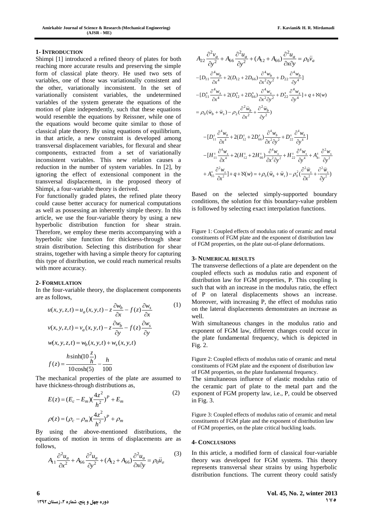### **1- INTRODUCTION**

Shimpi [1] introduced a refined theory of plates for both reaching more accurate results and preserving the simple form of classical plate theory. He used two sets of variables, one of those was variationally consistent and the other, variationally inconsistent. In the set of variationally consistent variables, the undetermined variables of the system generate the equations of the motion of plate independently, such that these equations would resemble the equations by Reissner, while one of the equations would become quite similar to those of classical plate theory. By using equations of equilibrium, in that article, a new constraint is developed among transversal displacement variables, for flexural and shear components, extracted from a set of variationally inconsistent variables. This new relation causes a reduction in the number of system variables. In [2], by ignoring the effect of extensional component in the transversal displacement, in the proposed theory of Shimpi, a four-variable theory is derived.

For functionally graded plates, the refined plate theory could cause better accuracy for numerical computations as well as possessing an inherently simple theory. In this article, we use the four-variable theory by using a new hyperbolic distribution function for shear strain. Therefore, we employ these merits accompanying with a hyperbolic sine function for thickness-through shear strain distribution. Selecting this distribution for shear strains, together with having a simple theory for capturing this type of distribution, we could reach numerical results with more accuracy.

#### **2- FORMULATION**

In the four-variable theory, the displacement components are as follows,

$$
u(x, y, z, t) = u_a(x, y, t) - z \frac{\partial w_b}{\partial x} - f(z) \frac{\partial w_s}{\partial x}
$$
  
\n
$$
v(x, y, z, t) = v_a(x, y, t) - z \frac{\partial w_b}{\partial y} - f(z) \frac{\partial w_s}{\partial y}
$$
  
\n
$$
w(x, y, z, t) = w_b(x, y, t) + w_s(x, y, t)
$$
  
\n
$$
f(z) = \frac{h \sinh(10 \frac{z}{h})}{10 \cosh(5)} - \frac{h}{100}
$$

The mechanical properties of the plate are assumed to have thickness-through distributions as,

$$
E(z) = (E_c - E_m)(\frac{4z^2}{h^2})^P + E_m
$$
  

$$
\rho(z) = (\rho_c - \rho_m)(\frac{4z^2}{h^2})^P + \rho_m
$$
 (2)

By using the above-mentioned distributions, the equations of motion in terms of displacements are as follows,

$$
A_{11}\frac{\partial^2 u_a}{\partial x^2} + A_{66}\frac{\partial^2 u_a}{\partial y^2} + (A_{12} + A_{66})\frac{\partial^2 u_a}{\partial x \partial y} = \rho_0 \ddot{u}_a
$$
 (3)

$$
A_{22} \frac{\partial^2 v_a}{\partial y^2} + A_{66} \frac{\partial^2 u_a}{\partial y^2} + (A_{12} + A_{66}) \frac{\partial^2 u_a}{\partial x \partial y} = \rho_0 \ddot{v}_a
$$
  
\n
$$
- [D_{11} \frac{\partial^4 w_b}{\partial x^4} + 2(D_{12} + 2D_{66}) \frac{\partial^4 w_b}{\partial x^2 \partial y^2} + D_{22} \frac{\partial^4 w_b}{\partial y^4}]
$$
  
\n
$$
- [D_{11}^s \frac{\partial^4 w_s}{\partial x^4} + 2(D_{12}^s + 2D_{66}^s) \frac{\partial^4 w_s}{\partial x^2 \partial y^2} + D_{22}^s \frac{\partial^4 w_s}{\partial y^4}] + q + N(w)
$$
  
\n
$$
= \rho_0 (\ddot{w}_b + \ddot{w}_s) - \rho_2 (\frac{\partial^2 \ddot{w}_b}{\partial x^2} + \frac{\partial^2 \ddot{w}_b}{\partial y^2})
$$
  
\n
$$
- [D_{11}^s \frac{\partial^4 w_b}{\partial x^4} + 2(D_{12}^s + 2D_{66}^s) \frac{\partial^4 w_b}{\partial x^2 \partial y^2} + D_{22}^s \frac{\partial^4 w_b}{\partial y^4}]
$$
  
\n
$$
- [H_{11}^s \frac{\partial^4 w_s}{\partial x^4} + 2(H_{12}^s + 2H_{66}^s) \frac{\partial^4 w_s}{\partial x^2 \partial y^2} + H_{22}^s \frac{\partial^4 w_s}{\partial y^4} + A_{44}^s \frac{\partial^2 w_s}{\partial y^2}
$$
  
\n
$$
+ A_{55}^s \frac{\partial^2 w_s}{\partial x^2}] + q + N(w) = +\rho_0 (\ddot{w}_b + \ddot{w}_s) - \rho_0^2 (\frac{\partial^2 \ddot{w}_s}{\partial x^2} + \frac{\partial^2 \ddot{w}_s}{\partial y^2})
$$

Based on the selected simply-supported boundary conditions, the solution for this boundary-value problem is followed by selecting exact interpolation functions.

Figure 1: Coupled effects of modulus ratio of ceramic and metal constituents of FGM plate and the exponent of distribution law of FGM properties, on the plate out-of-plane deformations.

## **3- NUMERICAL RESULTS**

The transverse deflections of a plate are dependent on the coupled effects such as modulus ratio and exponent of distribution law for FGM properties, P. This coupling is such that with an increase in the modulus ratio, the effect of P on lateral displacements shows an increase. Moreover, with increasing P, the effect of modulus ratio on the lateral displacements demonstrates an increase as well.

With simultaneous changes in the modulus ratio and exponent of FGM law, different changes could occur in the plate fundamental frequency, which is depicted in Fig. 2.

Figure 2: Coupled effects of modulus ratio of ceramic and metal constituents of FGM plate and the exponent of distribution law of FGM properties, on the plate fundamental frequency.

The simultaneous influence of elastic modulus ratio of the ceramic part of plate to the metal part and the exponent of FGM property law, i.e., P, could be observed in Fig. 3.

Figure 3: Coupled effects of modulus ratio of ceramic and metal constituents of FGM plate and the exponent of distribution law of FGM properties, on the plate critical buckling loads.

#### **4- CONCLUSIONS**

In this article, a modified form of classical four-variable theory was developed for FGM systems. This theory represents transversal shear strains by using hyperbolic distribution functions. The current theory could satisfy

*x*

 $\partial$